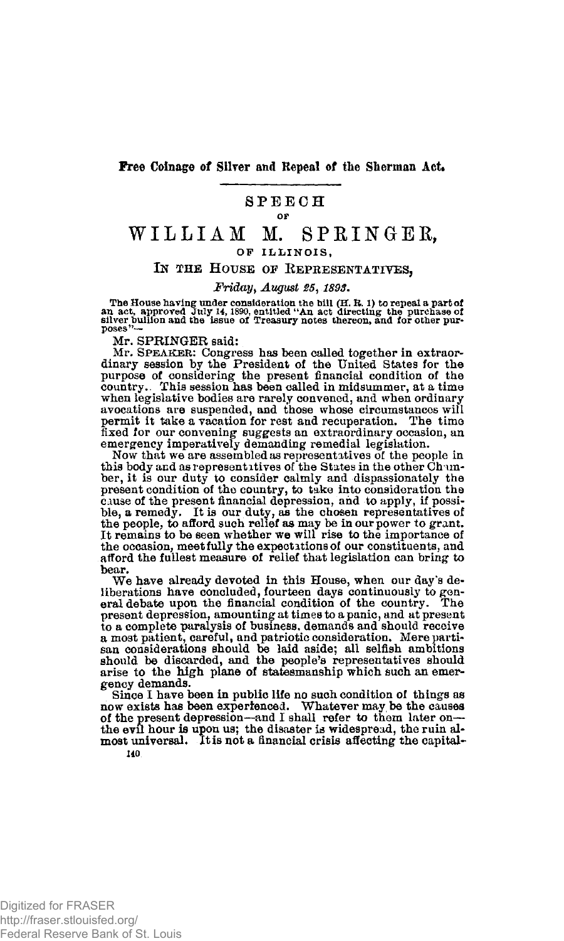**Free Coinage of Silver and Repeal of the Sherman Act.** 

## **SPEEC H**

#### or

# **WILLIA M M. SPRINGER,**  OF ILLINOIS.

### IN THE HOUSE OF REPRESENTATIVES.

### *Friday, August 25,1893.*

The House having under consideration the bill  $(H, R, 1)$  to repeal a part of<br>an act, approved July 14, 1890, entitled "An act directing the purchase of<br>silver builion and the issue of Treasury notes thereon, and for other

Mr. SPRINGER said:

Mr. SPEAKER: Congress has been called together in extraordinary session by the President of the United States for the purpose of considering the present financial condition of the prosent pountry. This session has been cal when legislative bodies are rarely convened, and when ordinary avocations are suspended, and those whose circumstances will permit it take a vacation for rest and recuperation. The time fixed for our convening suggests an extraordinary occasion, an emergency imperatively demanding remedial legislation.

Now that we are assembled as representatives of the people in this body and as representitives of the States in the other Chamber, it is our duty to consider calmly and dispassionately the present condition of the country, to take into consideration the cause of the present financial depression, and to apply, if possible, a remedy. It is our duty, as the chosen representatives of the people, to afford such relief as may be in our power to grant. It remains to be seen whether we will rise to the importance of the occasion, meet fully the expectations of our constituents, and afford the fullest measure of relief that legislation can bring to bear.

We have already devoted in this House, when our day's deliberations have concluded, fourteen days continuously to general debate upon the financial condition of the country. The present depression, amounting at times to a panic, and at present to a complete paralysis of business, demands and should receive a most patient, careful, and patriotic consideration. Mere parti-san considerations should be laid aside; all selfish ambitions should be discarded, and the people's representatives should arise to the high plane of statesmanship which such an emergency demands.

Since I have been in public life no such condition of things as now exists has been experienced. Whatever may be the causes of the present depression—and I shall refer to them later on the evil hour is upon us; the disaster is widespread, the ruin al-<br>most universal. It is not a financial crisis affecting the capital-140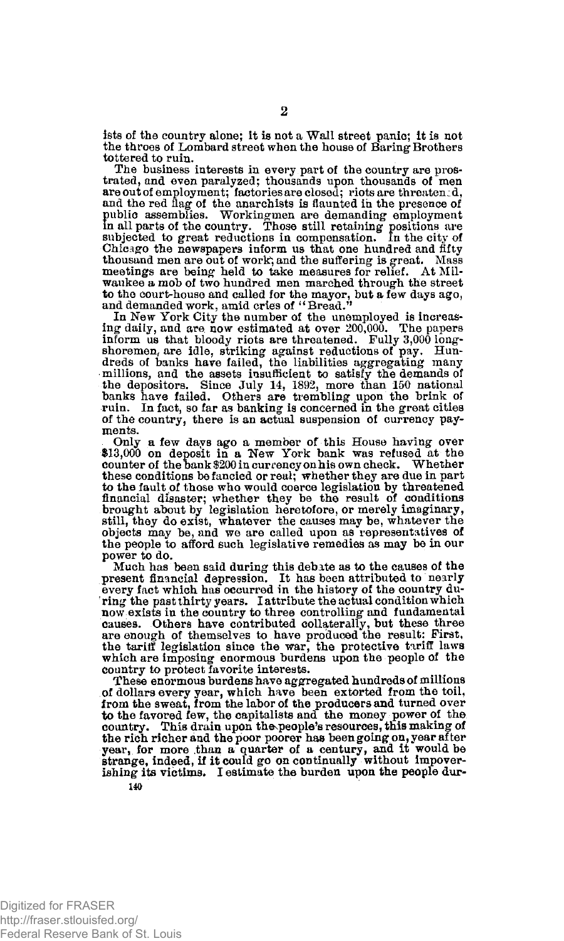ists of the country alone; it is not a Wall street panic; it is not the throes of Lombard street when the house of Baring- Brothers tottered to ruin.

The business interests in every part of the country are pros-trated, and even paralyzed; thousands upon thousands of'men are out of employment; factories are closed; riots are threaten:d, and the red flag of the anarchists is flaunted in the presence of public assemblies. Workingmen are demanding employment in all parts of the country. Those still retaining positions are subjected to great reductions in com Chicago the newspapers inform us that one hundred and fifty thousand men are out of work; and the suffering is great. Mass meetings are being held to take measures for relief. At Milwaukee a mob of two hundred men marched through the street to the court-house and called for the mayor, but a few days ago, and demanded work, amid cries of "Bread."

In New York City the number of the unemployed is increasing daily, and are now estimated at over 200,000. The papers inform us that bloody riots are threatened. Fully 3,000 longshoremen, are idle, striking against reductions of pay. Hun-dreds of banks have failed, the liabilities aggregating many millions, and the assets insufficient to satisfy the demands of the depositors. Since July 14, 1892, more than 150 national banks have failed. Others are trembling upon the brink of ruin. In fact, so far as banking is concerned in the great cities of the country, there is an actual suspension of currency payments.

Only a few days ago a member of this House having over \$13,000 on deposit in a New York bank was refused at the counter of the bank \$200 in currency on his own check. Whether these conditions be fancied or real; whether they are due in part to the fault of those who would coerce legislation by threatened financial disaster; whether they be the result of conditions brought about by legislation heretofore, or merely imaginary, still, they do exist, whatever the causes may be, whatever the objects may be, and we are called upon as representatives of the people to afford such legislative remedies as may be in our power to do.

Much has been said during this debate as to the causes of the present financial depression. It has been attributed to nearly every fact which has occurred in the history of the country dur ring the past thirty years. I attribute the actual condition which now exists in the country to three controlling and fundamental causes. Others have contributed collaterally, but these three are enough of themselves to have produced the result: First, the tariff legislation since the war, the protective tariff laws which are imposing enormous burdens upon the people of the country to protect favorite interests.

These enormous burdens have aggregated hundreds of millions of dollars every year, which have been extorted from the toil,<br>from the sweat, from the labor of the producers and turned over<br>to the favored few, the capitalists and the money power of the<br>country. This drain upon the peo the rich richer and the poor poorer has been going on, year after year, for more than a quarter of a century, and it would be strange, indeed, if it could go on continually without impoverishing its victims. I estimate the burden upon the people dur-**140**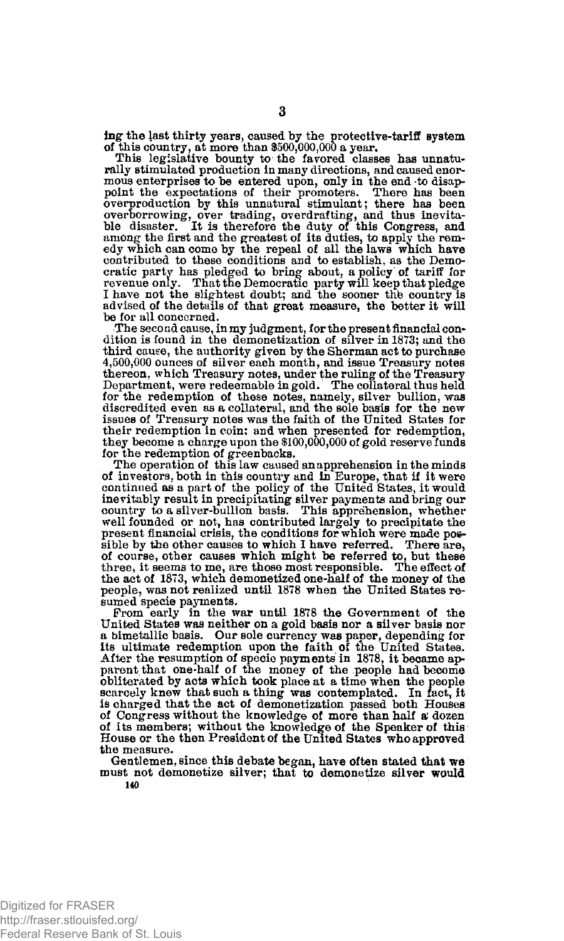lug- the last thirty years, caused by the protective-tariff system of this country, at more than \$500,000,000 a year.

This legislative bounty to the favored classes has unnaturally stimulated production in many directions, and caused enormous enterprises to be entered upon, only in the end to disap-point the expectations of their promoters. There has been overproduction by this unnatural stimulant; there has been overborrowing, over trading, overdrafting, and thus inevitable disaster. It is therefore the duty of this Congress, and among the first and the greatest of its duties, to apply the rem-<br>edy which can come by the repeal of cratic party has pledged to bring about, a policy of tariff for<br>revenue only. That the Democratic party will keep that pledge<br>I have not the slightest doubt; and the sooner the country is advised of the details of that great measure, the better it will be for all concerned.

The second cause, in my judgment, for the present financial condition is found in the demonetization of silver in 1873; and the third cause, the authority given by the Sherman act to purchase 4,500,000 ounces of silver each month, and issue Treasury notes thereon, which Treasury notes, under the ruling of the Treasury Department, were redeemable in gold. The collateral thus held for the redemption of these notes, namely, silver bullion, was discredited even as a collateral, and the sole basis for the new issues of Treasury notes was the faith of the United States for their redemption in coin: and when presented for redemption, they become a charge upon the \$100,000,000 of gold reserve funds for the redemption of greenbacks.

The operation of this law caused an apprehension in the minds of investors, both in this country and In Europe, that if it were continued as a part of the policy of the United States, it would inevitably result in precipitating silver payments and bring our country to a silver-bullion basis. This apprehension, whether well founded or not, has contributed largely to precipitate the present financial crisis, the conditions for which were made pos-sible by the other causes to which I have referred. There are, of course, other causes which might be referred to, but these three, it seems to me, are those most responsible. The effect of the act of 1873, which demonetized one-half of the money of the people, was not realized until 1878 when the United States resumed specie payments.

From early in the war until 1878 the Government of the United States was neither on a gold basis nor a silver basis nor a bimetallic basis. Our sole currency was paper, depending for its ultimate redemption upon the faith of the United States. After the resumption of specie payments in 1878, it became ap-parent that one-half of the money of the people had become obliterated by acts which took place at a time when the people scarcely knew that such a thing was contemplated. In fact, it is charged that the act of demonetization passed both Houses of Congress without the knowledge of more than half a; dozen of its members; without the knowledge of the Speaker of this House or the then President of the United States who approved the measure.

Gentlemen, since this debate began, have often stated that we must not demonetize silver; that to demonetize silver would

**140**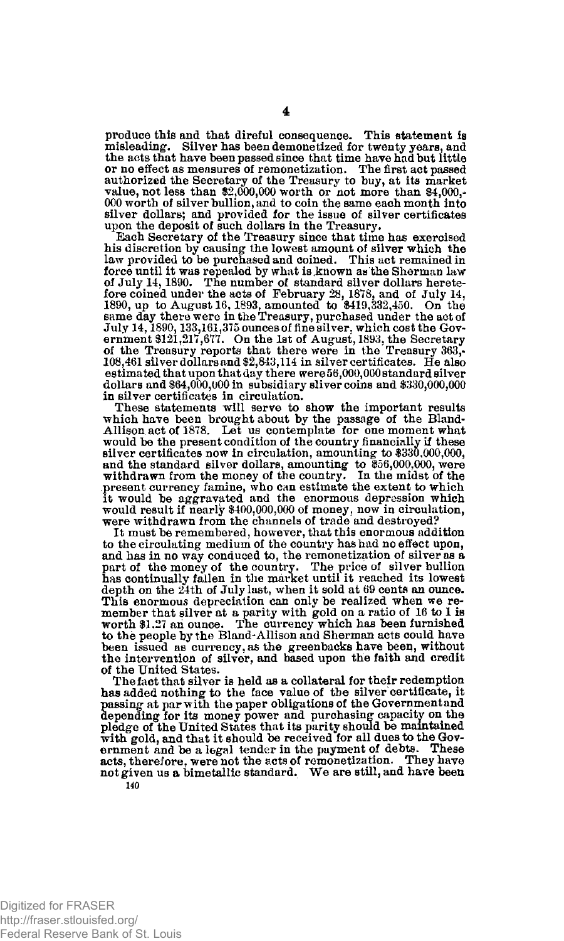produce this and that direful consequence. This statement is misleading. Silver has been demonetized for twenty years, and the acts that have been passed since that time have had but little or no effect as measures of remonetization. The first act passed authorized the Secretary of the Treasury to buy, at its market value, not less than \$2,000,000 worth or not more than \$4,000,- 000 worth of silver bullion, and to coin the same each month into silver dollars; and provided for the issue of silver certificates upon the deposit of such dollars in the Treasury. Each Secretary of the Treasury since that time has exercised

his discretion by causing the lowest amount of silver which the law provided to be purchased and coined. This act remained in force until it was repealed by what is .known as the Sherman law of July 14,1890. The number of standard silver dollars herete-fore coined under the acts of February 28, 1878, and of July 14, 1890, up to August 16,1893, amounted to \$419,332,450. On the same day there were in the Treasury, purchased under the act of July 14, 1890, 133,161, 375 ounces of fine silver, which cost the Government \$121, 217, 677. On the 1st of August, 1893, the Secretary of the Treasury reports that there were in the Treasury 363,-108,461 silver dollars and estimated that upon that day there were 56,000,000 standard silver dollars and \$64,000,000 in subsidiary **Bliver** coins and \$330,000,000 in silver certificates in circulation.

These statements will serve to show the important results which have been brought about by the passage of the Bland-Allison act of 1878. Let us contemplate for one moment what would be the present condition of the country financially if these silver certificates now In circulation, amounting to \$330,000,000, and the standard silver dollars, amounting to \$56,000,000, were withdrawn from the money of the country. In the midst of the present currency famine, who can estimate the extent to which it would be aggravated and the enormous depression which would result if nearly \$400,000,000 of money, now in circulation, were withdrawn from the channels of trade and destroyed? It must be remembered, however, that this enormous addition

to the circulating medium of the country has had no effect upon, and has in no way conduced to, the remonetization of silver as a part of the money of the country. The price of silver bullion has continually fallen in the market until it reached its lowest depth on the 24th of July last, when it sold at 69 cents an ounce. This enormous depreciation can only be realized when we remember that silver at a parity with gold on a ratio of 16 to 1 is worth \$1.27 ah ounce. The currency which has been furnished to the people by the Bland-Allison and Sherman acts could have been issued as currency, as the greenbacks have been, without the intervention of silver, and based upon the faith and credit of the United States.

The fact that silver is held as a collateral for their redemption has added nothing to the face value of the silver certificate, it passing at par with the paper obligations of the Government and depending for its money power and purchasing capacity on the<br>pledge of the United States that its parity should be maintained<br>with gold, and that its bould be received for all dues to the Gov-<br>ernment and be a legal tender acts, therefore, were not the acts of remonetization. They have not given us a bimetallic standard. We are still, and have been **140**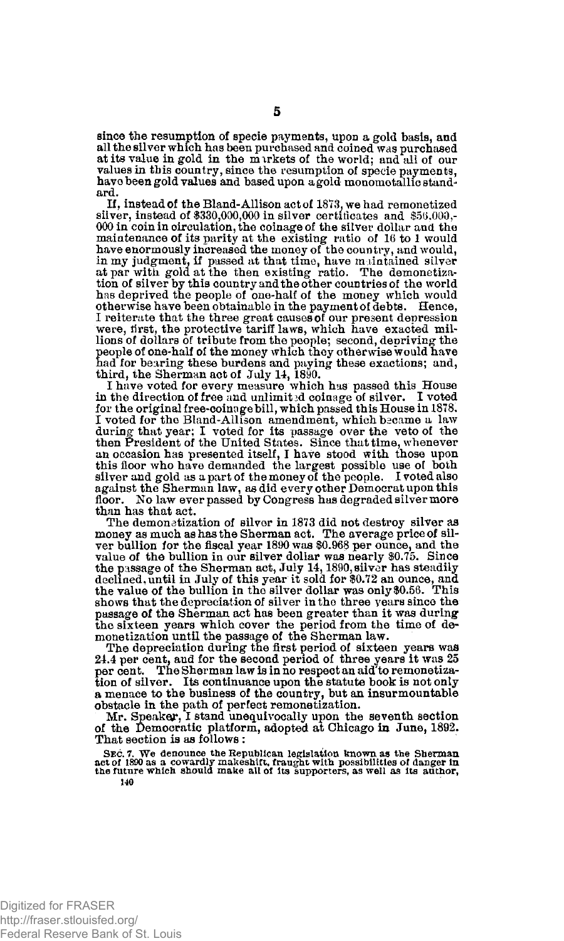since the resumption of specie payments, upon a gold basis, and all the silver which has been purchased and coined was purchased at its value in gold in the markets of the world; and all of our values in this country, since the resumption of specie payments, have been gold values and based upon a gold monometallic standard.

If, instead of the Bland-Allison act of 1873. we had remonetized silver, instead of  $$330,000,000$  in silver certificates and  $$56,000,$ -000 in coin in circulation, the coinage of the silver dollar ana the maintenance of its parity at the existing ratio of 16 to 1 would have enormously increased the money of the country, and would, in my judgment, if passed at that time, have maintained silver at par with gold at the then existing ratio. The demonetization of silver by this country and the other countries of the world has deprived the people of one-half of the money which would otherwise have been obtainable in the payment of debts. Hence, 1 reiterate that the three great causes of our present depression were, first, the protective tariff laws, which have exacted millions of dollars of tribute from the people; second, depriving the people of one-half of the money which they otherwise would have had for bearing these burdens and paying these exactions; and, third, the Sherman act of July 14, 1890.

I have voted for every measure which has passed this House in the direction of free and unlimited coinage of silver. I voted for the original free-coinage bill, which passed this House in 1878. I voted for the Bland-Allison amendment, which became a law during that year; I voted for its passage over the veto of the then President of the United States. Since that time, whenever an occasion has presented itself, I have stood with those upon this floor who have demanded the largest possible use of both silver and gold as a part of the money of the people. I voted also against the Sherman law, as did every other Democrat upon this floor. No law ever passed by Congress has degraded silver more than has that act.

The demonetization of silver in 1873 did not destroy silver as money as much as has the Sherman act. The average price of sil-ver bullion for the fiscal year 1890 was \$0,968 per ounce, and the value of the bullion in our silver dollar was nearly \$0.75. Since the passage of the Sherman act, July 14,1890, silver has steadily declined, until in July of this year it sold for \$0.72 an ounce, and the value of the bullion in the silver dollar was only \$0.56. This shows that the depreciation of silver in the three years since the passage of the Sherman act has been greater than it was during the sixteen years which cover the period from the time of demonetization until the passage of the Sherman law.

The depreciation during the first period of sixteen years was 24.4 per cent, and for the second period of three years it was 25 per cent. The Sherman law is in no respect an aid'to remonetiza-tion of silver. Its continuance upon the statute book is not only a menace to the business of the country, but an insurmountable obstacle in the path of perfect remonetization.

Mr. Speaker, I stand unequivocally upon the seventh section of the Democratic platform, adopted at Chicago in June, 1892. That section is as follows :

SEC.7. We denounce the Republican legislation known as the Sherman act of 1890 as a cowardly makeshift, fraught in the full the function of the function of the function of the function of the function of the function of th **140**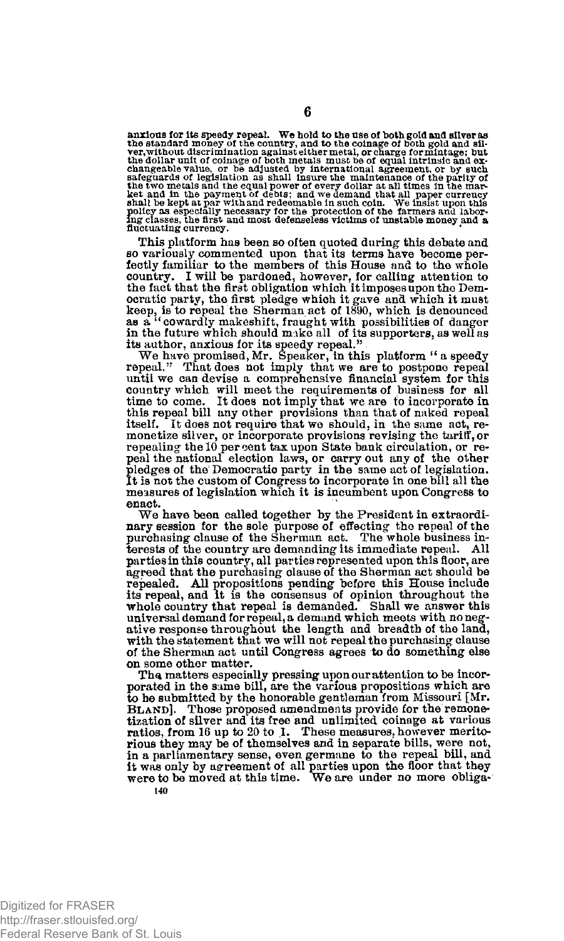anxious for its speedy repeal. We hold to the use of both gold and silver as the standard money of the country, and to the countgroup of the original to the counterpart of but the dollar unit of collage of both metals must

This platform has been so often quoted during this debate and so variously commented upon that its terms have become perfectly familiar to the members of this House and to the whole country. I will be pardoned, however, for calling attention to the fact that the first obligation which it imposes upon the Democratic party, the first pledge which it gave and which it must<br>keep, is to repeal the Sherman act of 1890, which is denounced<br>as a "cowardly makeshift, fraught with possibilities of danger<br>in the future which should make

until we can devise a comprehensive financial system for this country which will meet the requirements of business for all time to come. It does not imply that we are to incorporate in this repeal bill any other provisions than that of naked repeal itself. It does not require that we should, in the same act, remonetize silver, or incorporate provisions revising the tariff, or repealing the 10 per cent tax upon State bank circulation, or repeal the national election laws, or carry out any of the other pledges of the Democratic party in the same act of legislation. It is not the custom of Congress to incorporate in one bill all the measures of legislation which it is incumbent upon Congress to enact.

We have been called together by the President in extraordinary session for the sole purpose of effecting the repeal of the purchasing clause of the Sherman act. The whole business interests of the country are demanding its immediate repeal. All parties in this country, all parties represented upon this floor, are agreed that the purchasing clause of the Sherman act should be repealed. All propositions pending befpre this House include its repeal, and it is the consensus of opinion throughout the whole country that repeal is demanded. Shall we answer this universal demand for repeal, a demand which meets with no negative response throughout the length and breadth of the land, with the statement that we will not repeal the purchasing clause of the Sherman act until Congress agrees to do something else on some other matter.

The matters especially pressing upon our attention to be incorporated in the same bill, are the various propositions which are to be submitted by the honorable gentleman from Missouri [Mr. BLAND]. Those proposed amendments provide for the remonetization of silver and its free and unlimited coinage at various ratios, from 16 up to 20 to 1. These measures, however meritorious they may be of themselves and in separate bills, were not, in a parliamentary sense, even germane to the repeal bill, and it was only by agreement of all parties upon the floor that they were to be moved at this time. We are under no more obligauo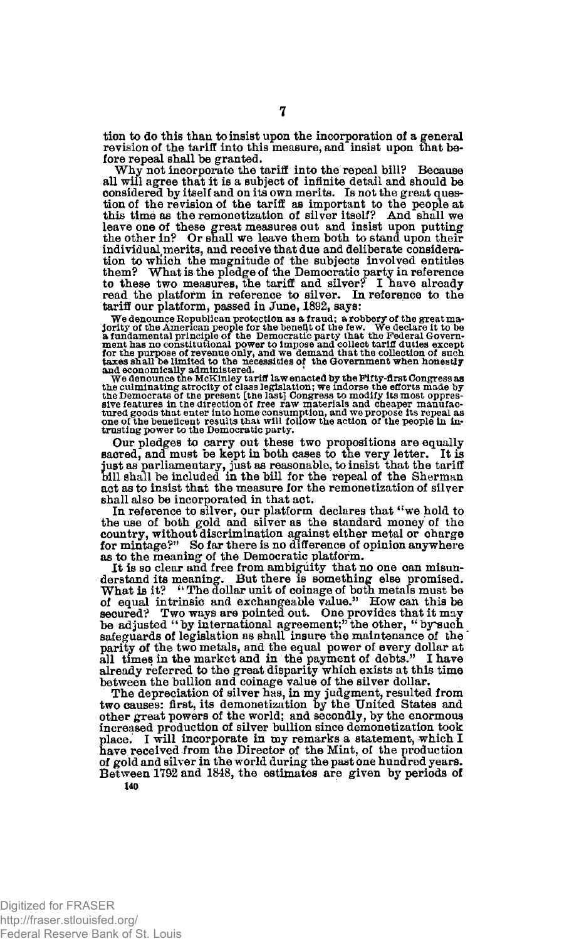tion to do this than to insist upon the incorporation of a general revision of the tariff into this measure, and insist upon that before repeal shall be granted.

Why not incorporate the tariff into the repeal bill? Because all will agree that it is a subject of infinite detail and should be considered by itself and on its own merits. Is not the great question of the revision of the tariff as important to the people at this time as the remonetization of silver itself? And shall *we*  leave one of these great measures out and insist upon putting the other in? Or shall we leave them both to stand upon their individual merits, and receive that due and deliberate consideration to which the magnitude of the subjects involved entitles them? What is the pledge of the Democratic party in reference to these two measures, the tariff and silver? I have already read the platform in reference to silver. In reference to the tariff our platform, passed in June, 1892, says:

We denounce Republican protection as a fraud; a robbery of the great manipulation protection and principle of the benefit of the few. We declare it to be a fundamental principle of the Democratic party that the Federal Gov

Our pledges to carry out these two propositions are equally sacred, and must be kept in both cases to the very letter. It is just as parliamentary, just as reasonable, to insist that the tariff bill shall be included in the bill for the repeal of the Sherman act as to insist that the measure for the remonetization of silver shall also be incorporated in that act.

In reference to silver, our platform declares that "we hold to the use of both gold and silver as the standard money of the country, without discrimination against either metal or charge for mintage?" So far there is no difference of opinion anywhere as to the meaning of the Democratic platform.

It is so clear and free from ambiguity that no one can misun-derstand its meaning. But there is something else promised. What is it? "The dollar unit of coinage of both metals must be of equal intrinsic and exchangeable value." How can this be secured? Two ways are pointed out. One provides that it may be adjusted "by international agreemen safeguards of legislation as shall insure the maintenance of the parity of the two metals, and the equal power of every dollar at all times in the market and in the payment of debts." I have already referred to the great disparity which exists at this time between the bullion and coinag

The depreciation of silver has, in my judgment, resulted from two causes: first, its demonetization by the United States and other great powers of the world; and secondly, by the enormous increased production of silver bullion since demonetization took place. I will incorporate in my remarks a statement, which I have received from the Director of the Mint, of the production of gold and silver in the world during the past one hundred years. Between 1792 and 1848, the estimates are given by periods of **140**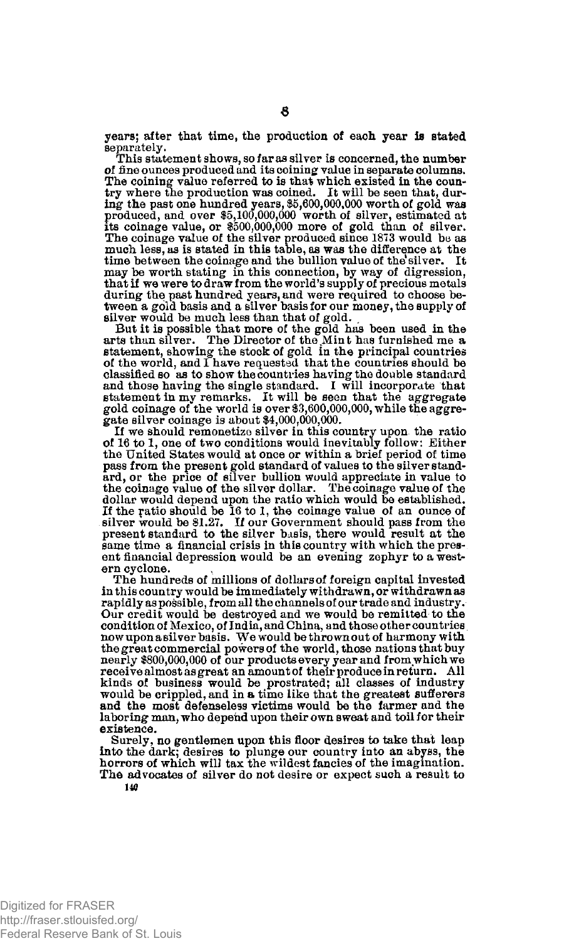years; after that time, the production of each year is stated separately.

This statement shows, so far as silver is concerned, the number of fine ounces produced and its coining value in separate columns. The coining value referred to is that which existed in the coun-try where the production was coined. It will be seen that, during the past one hundred years, \$5,600,000,000 worth of gold was produced, and over \$5,100,000,000 worth of silver, estimated at its coinage value, or \$500,000,000 more of gold than of silver. The coinage value of the silver produced since 1873 would be as much less, as is stated in this table, as was the difference at the time between the coinage and the bullion value of the silver. It may be worth stating in this connection, by way of digression, that if we were to draw from the world's supply of precious metals during the past hundred years, and were required to choose be-tween a gold basis and a silver basis for our money, the supply of silver would be much less than that of gold.

But it is possible that more of the gold has been used in the arts than silver. The Director of the Min t has furnished me a statement, showing the stock of gold in the principal countries of the world, and I have requested that the countries should be classified so as to show the countries having the double standard and those having the single standard. I will incorporate that statement in my remarks. It will be seen that the aggregate gold coinage of the world is over \$3,600,000,000, while the aggregate silver coinage is about \$4,000,000,000.

If we should remonetize silver in this country upon the ratio of 16 to 1, one of two conditions would inevitably follow: Either the United States would at once or within a brief period of time pass from the present gold standard of values to the silver stand-ard, or the price of silver bullion would appreciate in value to the coinage value of the silver dollar. The coinage value of the dollar would depend upon the ratio which would be established. If the ratio should be 16 to 1, the coinage value of an ounce of silver would be \$1.27. If our Government should pass from the present standard to the silver basis, there would result at the same time a financial crisis in this country with which the present financial depression would be an evening zephyr to a western cyclone.

The hundreds of millions of dollars of foreign capital invested in this country would be immediately withdrawn, or withdrawn as rapidly as possible, from all the channels of our trade and industry. Our credit would be destroyed and we would be remitted to the condition of Mexico, of India, and China, and those other countries now upon a silver basis. We would be thrown out of harmony with the great commercial powers of the world, those nations that buy nearly \$800,000,000 of our products every year and from which we receive almost as great an amount of their produce in return. All kinds of business would be prostrated; all classes of industry would be crippled, and in a time like that the greatest sufferers and the most defenseless victims would be the farmer and the laboring man, who depend upon their own sweat and toil for their existence.

Surely, no gentlemen upon this floor desires to take that leap into the dark; desires to plunge our country into an abyss, the horrors of which will tax the wildest fancies of the imagination. The advocates of silver do not desire or expect such a result to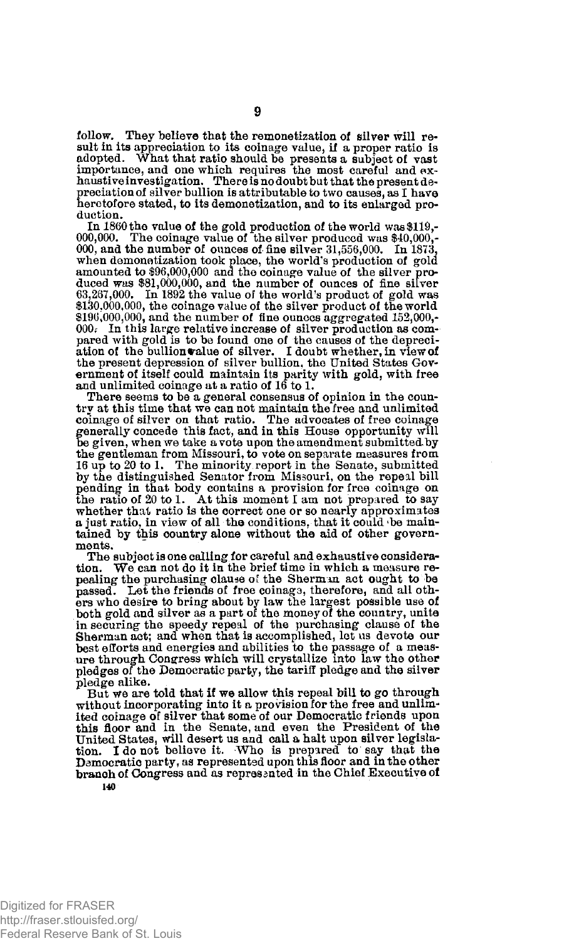follow. They believe that the remonetization of silver will result in its appreciation to its coinage value, if a proper ratio is adopted. What that ratio should be presents a subject of vast<br>importance, and one which requires the most careful and exhaustive<br>invastigation. There is no doubt but that the present de-<br>preciation of silver bullion is att heretofore stated, to its demonetization, and to its enlarged production.

In 1860 the value of the gold production of the world was \$119,- 000,000. The coinage value of the silver produced was \$40,000,- 000, and the number of ounces of-fine silver 31,556,000. In 1873, when demonetization took place, the world's production of gold amounted to \$96,000,000 and the coinage value of the silver produced was \$81,000,000, and the number of ounces of fine silver<br>63,267,000. In 1892 the value of the world's product of gold was<br>\$130,000,000, the coinage value of the silver product of the world \$196,000,000, and the number of fine ounces aggregated 152,000,-000.' In this large relative increase of silver production as compared with gold is to be found one of the causes of the depreciation of the bullion value of silver. I doubt whether, in view of<br>the present depression of silver bullion, the United States Gov-<br>ernment of itself could maintain its parity with gold, with free and unlimited coinage at a ratio of 16 to 1.

There seems to be a general consensus of opinion in the country at this time that we can not maintain the free and unlimited coinage of silver on that ratio. The advocates of free coinage generally concede this fact, and in this House opportunity will be given, when we take a vote upon the amendment submitted by the gentleman from Missouri, to vote on separate measures from 16 up to 20 to 1. The minority. report in the Senate, submitted by the distinguished Senator from Missouri, on the repeal bill pending in that body contains a provision for free coinage on the ratio of 20 to 1. At this moment I am not prepared to say whether that ratio is the correct one or so nearly approximates a just ratio, in view of all the conditions, that it could 'be maintained by this country alone without the aid of other governments.

The subject is one calling for careful and exhaustive consideration. We can not do it in the brief time in which a measure re-We can not do it in the brief time in which a measure repealing the purchasing clause of the Sherman act ought to be passed. Let the friends of free coinags, therefore, and all oth-ers who desire to bring about by law the largest possible use of both gold and silver as a part of the money of the country, unite in securing the speedy repeal of the purchasing clause of the Sherman act; and when that is accomplished, let us devote our best efforts and energies and abilities to the passage of a meas-ure through Congress which will crystallize into law the other pledges of the Democratic party, the tariff pledge and the silver pledge alike.

But we are told that if we allow this repeal bill to go through without incorporating into it a provision for the free and unlimited coinage of silver that some of our Democratic friends upon this floor and in the Senate, and even the President of the United States, will desert us and call a halt upon silver legislation. I do not believe it. Who is prepared to say that the Democratic party, as represented upon this floor and in the other branch of Congress and as repres anted in the Chief Executive of **140** 

**9**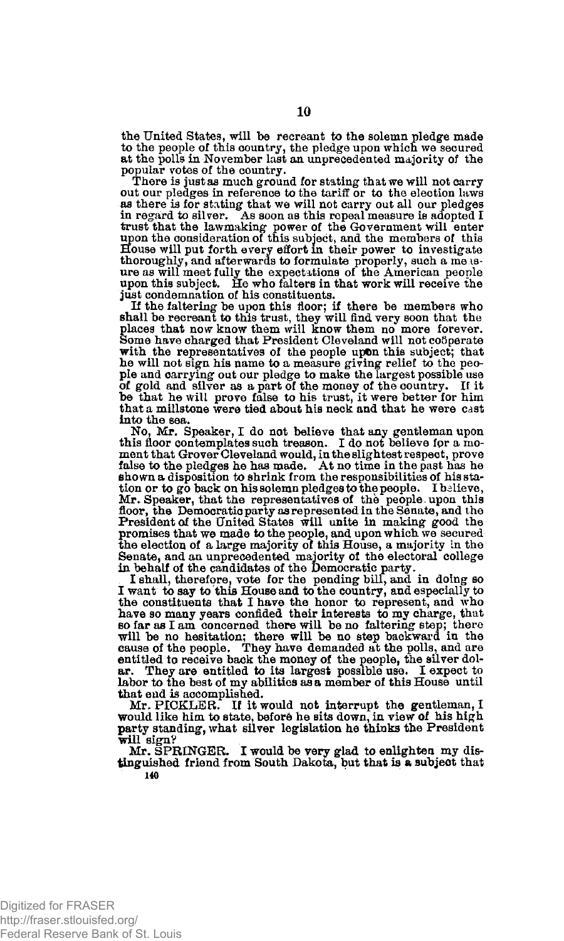the United States, will be recreant to the solemn pledge made to the people of this country, the pledge upon which we secured at the polls in November last an unprecedented majority of the popular votes of the country.<br>There is just as much ground for stating that we will not carry

out our pledges in reference to the tariff or to the election laws as there is for stating that we will not carry out all our pledges in regard to silver. As soon as this repeal measure is adopted I trust that the lawmaking power of the Government will enter<br>upon the consideration of this subject, and the members of this<br>House will put forth every effort in their power to investigate thoroughly, and afterwards to formulate properly, such a measure as will meet fully the expectations of the American people upon this subject. He who falters in that work will receive the just condemnation of his constituents.

If the faltering be upon this floor; if there be members who shall be recreant to this trust, they will find very soon that the places that now know them will know them no more forever.<br>Some have charged that President Cleveland will not co5perate with the representatives of the people upon this subject; that he will not sign his name to a measure giving relief to the peo-ple and carrying out our pledge to make the largest possible use of gold and silver as a part of the money of the country. If it be that he will prove false to his trust, it were better for him that a millstone were tied about his neck and that he were cast into the sea.

No, Mr. Speaker, I do not believe that any gentleman upon this floor contemplates such treason. I do not believe fpr a moment that Grover Cleveland would, in the slightest respect, prove false to the pledges he has made. 'At no time in the past has he shown a disposition to shrink from the responsibilities of his statelion or to go back on his solemn pledges to the people. Ibelieve, Mr. Speaker, that the r floor, the Democratic party as represented in the Senate, and the President of the United States will unite in making good the promises that we made to the people, and upon which we secured<br>the election of a large majority of this House, a majority in the<br>Senate, and an unprecedented majority of the electoral college<br>in behalf of the candidates of

I shall, therefore, vote for the pending bill, and in doing so I want to say to this House and to the country, and especially to the constituents that I have the honor to represent, and who have so many years confided their interests to my charge, that so far as I am concerned there will be no faltering step; there will be no hesitation; there will be no step backward in the cause of the people. They have demanded at the polls, and are entitled to receive back the money of the people, the silver dol-ar. They are entitled to its largest possible use. I expect to labor to the best of my abilities as a member of this House until that end is accomplished.

Mr. PICKLER. If it would not interrupt the gentleman, I would like him to state, before he sits down, in view of his high party standing, what silver legislation he thinks the President will sign?

Mr. SPRINGER. I would be very glad to enlighten my distinguished friend from South Dakota, but that is a subject that **140**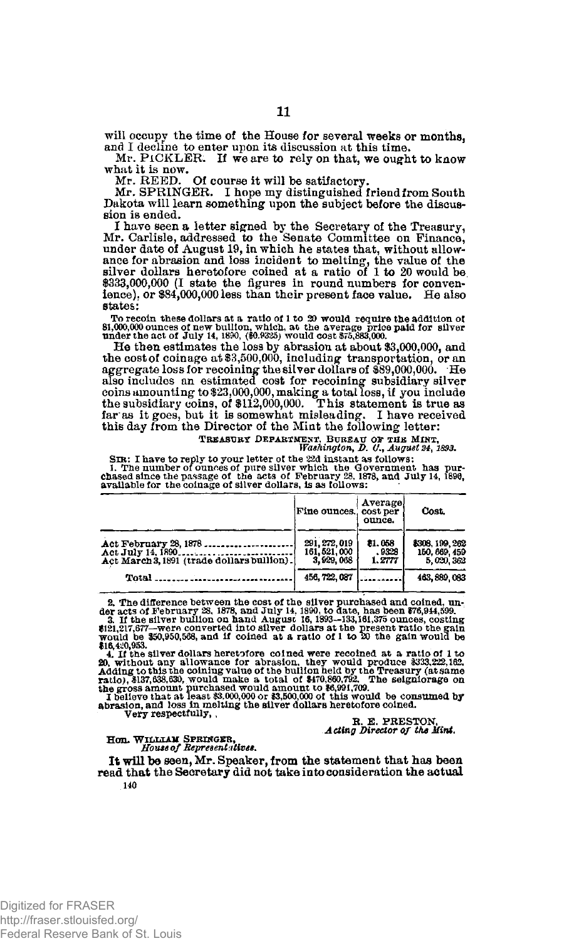will occupy the time of the House for several weeks or months, and I decline to enter upon its discussion at this time.

Mr. PiCKLEK. If we are to rely on that, we ought to know what it is now. Mr. KEED. Of course it will be satifactory.

Mr. SPRINGER. I hope my distinguished friend from South Dakota will learn something upon the subject before the discussion is ended.

I have seen a letter signed by the Secretary of the Treasury, Mr. Carlisle, addressed to the Senate Committee on Finance, under date of August 19, in which he states that, without allowance for abrasion and loss incident to melting, the value of the silver dollars heretofore coined at a ratio of 1 to 20 would be \$333,000,000 (I state the figures in round numbers for convenience), or \$84,000,000 less than their present face value. He also states:

To recoin these dollars at a ratio of 1 to 20 would require the addition of  $81,000,000$  ounces of new buillon, which, at the average price paid for silver under the act of July 14, 1890, (\$0.925) would cost 5.75,883,000.

He then estimates the loss by abrasion at about \$3,000,000, and the cost of coinage at \$3,500,000, including transportation, or an aggregate loss for recoining the silver dollars of \$89,000,000. He also includes an estimated cost for recoining subsidiary silver coins amounting to \$23,000,000, making a total loss, if you include the subsidiary coins, of \$112,000,000. This statement is true as far as it goes, but it is somewhat misleading. I have received this day from the Director of the Mint the following letter:

**TREASURY DEPARTMENT, BUREAU** *OF* **THE MINT,**  *Washington, D,* 6'., *August 24,1893.* 

SIR: I have to reply to your letter of the 22d instant as follows:<br>I. The number of ounces of pure silver which the Government has pur-chased since the passage of the acts of February 28, 1878, and July 14, 1896, availabl

|                                                                                          | Fine ounces, cost per                       | Average<br>ounce.         | <b>Cost.</b>                                 |
|------------------------------------------------------------------------------------------|---------------------------------------------|---------------------------|----------------------------------------------|
| Act February 28, 1878<br>Act July 14, 1890<br>Act March 3, 1891 (trade dollars bullion). | 291, 272, 019<br>161, 521, 000<br>3.929.068 | 81.058<br>.9328<br>1.2777 | 8308, 199, 262<br>150, 669, 459<br>5,020,362 |
| Total                                                                                    | 456, 722, 087                               |                           | 463, 889, 083                                |

2. The difference between the cost of the silver purchased and coined, under acts of February 28, 1878, and July 14, 1890, to date, has been  $676,944,599$ .<br>3. If the silver builton on hand August 16, 1893-133,161,375 ounc

4. If the silver dollars heretofore colned were recoined at a ratio of 1 to 20, without any allowance for abrasion, they would produce \$333,222,162.<br>Adding to this the colning value of the builion held by the Treasury (at

**R. E. PRESTON,**  *Acting Director of the Mint.* 

**Hon. WRLIIIAM SPRINGER,**  *House of Representative\*.* 

It will be seen, Mr. Speaker, from the statement that has been read that the Secretary did not take into consideration the actual **140**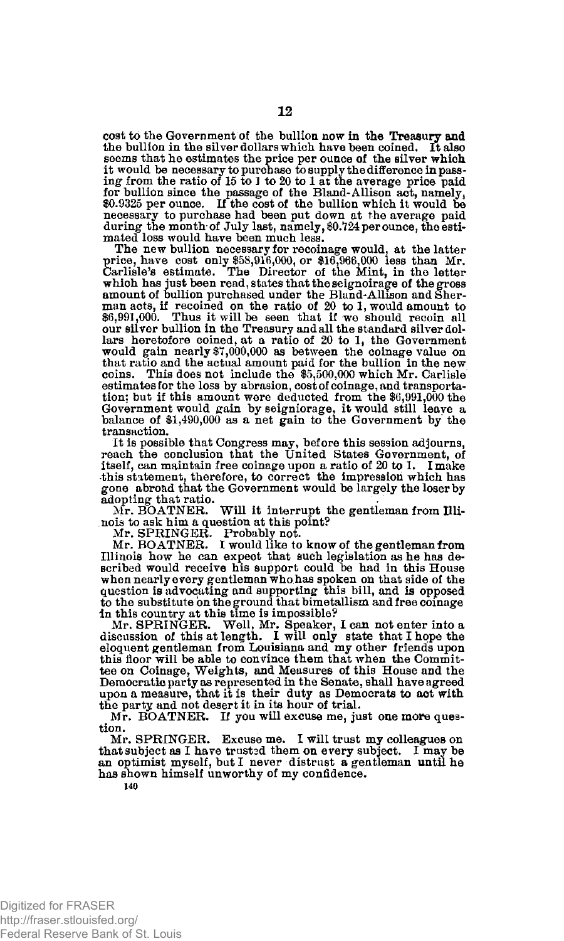cost to the Government of the bullion now in the Treasury and the bullion in the silver dollars which have been coined. It also seems that he estimates the price per ounce of the silver which it would be necessary to purchase to supply the difference in passing from the ratio of 15 to 1 to 20 to 1 at the average price paid for bullion since the passage of the Bland-Allison act, namely, \$0.9325 per ounce. If the necessary to purchase had been put down at the average paid during the month of July last, namely, \$0,724 per ounce, the estimated loss would have been much less.

The new bullion necessary for recoinage would, at the latter price, have cost only \$58,916,000, or \$16,966,000 less than Mr. Carlisle's estimate. The Director of the Mint, in the letter which has just been read, states that the seignoirage of the gross amount of bullion purchased under the Bland-Allison and Sherman acts, if recoined on the ratio of 20 to 1, would amount to  $\mathcal{X}_0$ , 991,000. Thus it wil our silver bullion in the Treasury and all the standard silver dollars heretofore coined, at a ratio of 20 to 1, the Government would gain nearly \$7,000,000 as between the coinage value on that ratio and the actual amount paid for the bullion in the new coins. This does not include the \$5,500,000 which Mr. Carlisle estimates for the loss by abrasion, cost of coinage, and transportation: but if this amount were deducted from the \$6,991,000 the Government would gain by seigniorage, it would still leave a balance of \$1,490,000 as a net gain to the Government by the transaction.

It is possible that Congress may, before this session adjourns, reach the conclusion that the United States Government, of itself, can maintain free coinage upon a ratio of 20 to 1. I make this statement, therefore, to correct the impression which has gone abroad that the Government would be largely the loser by adopting that ratio.<br>Mr. BOATNER.

Will it interrupt the gentleman from Illinois to ask him a question at this point?

Mr. SPRINGER. Probably not. Mr. BOATNER. I would like to know of the gentleman from Illinois how he can expect that such legislation as he has described would receive his support could be had in this House when nearly every gentleman who has spoken on that side of the question is advocating and supporting this bill, and is opposed to the substitute on the ground that bimetallism and free coinage in this country at this time is impossible?

Mr. SPRINGER. Well, Mr. Speaker, I can not enter into a discussion of this at length. I will only state that I hope the eloquent gentleman from Louisiana and my other friends upon this floor will be able to convince them that when the Commit-tee on Coinage, Weights, and Measures of this House and the Democratic party as represented in the Senate, shall have agreed upon a measure, that it is their duty as Democrats to act with the party and not desert it in its hour of trial.

Mr. BOATNER. If you will excuse me, just one more question.

Mr. SPRINGER. Excuse me. I will trust my colleagues on that subject as I have trusted them on every subject. I may be an optimist myself, but I never distrust a gentleman until he has shown himself unworthy of my confidence.

**140**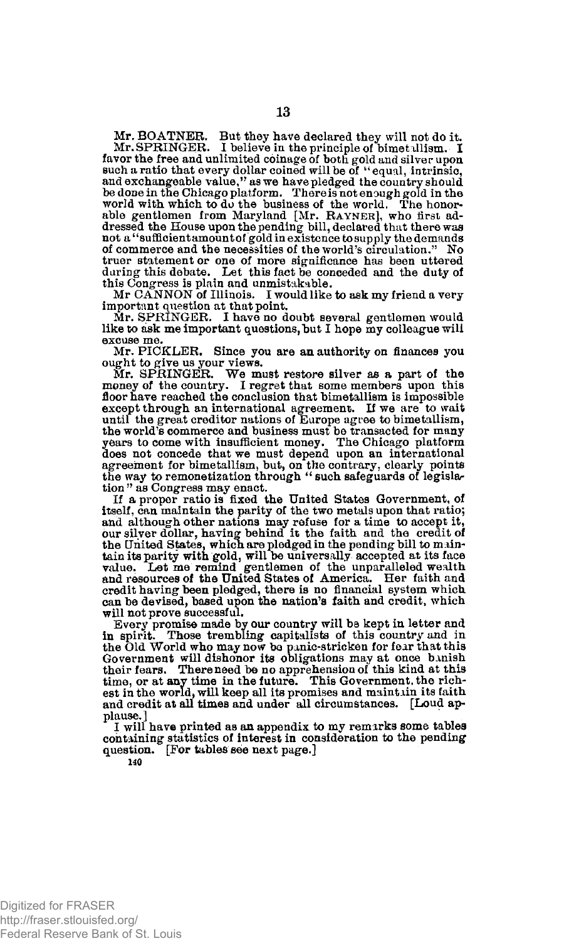Mr. BOATNER. But they have declared they will not do it. Mr. SPRINGER. I believe in the principle of bimetallism. I favor the free and unlimited coinage of both gold and silver upon<br>such a ratio that every dollar coined will be of "equal, intrinsic,<br>and exchangeable value," as we have pledged the country should<br>be done in the Chicago p able gentlemen from Maryland [Mr. Rayner], who first ad-dressed the House upon the pending bill, declared that there was not a "sufficient amount of gold in existence to supply the demands of commerce and the necessities of the world's circulation." No truer statement or one of more significance has been uttered daring this debate. Let this fact be conceded and the duty of this Congress is plain and unmistakable. Mr CANNON of Illinois. I would like to ask my friend a very

important question at that point.

Mr. SPRINGER. I have no doubt several gentlemen would like to ask me important questions, but I hope my colleague will excuse me.

Mr. PICKLER. Since you are an authority on finances you ought to give us your views.

Mr. SPRINGER. We must restore silver as a part of the money of the country. I regret that some members upon this floor have reached the conclusion that bimetallism is impossible except through an international agreement. If we are to wait until the great creditor nations of Europe agree to bimetallism, the world's commerce and business must be transacted for many years to come with insufficient money. The Chicago platform does not concede that we must depend upon an international agreement for bimetallism, but, on the contrary, clearly points the way to remonetization through " such safeguards of legislar tion " as Congress may enact.

If a proper ratio is fixed the United States Government, of itself, can maintain the parity of the two metals upon that ratio; and although other nations may refuse for a time to accept it, our silver dollar, having behind it the faith and the credit of the United States, whicn are pledged in the pending bill to maintain its parity with gold, will be universally accepted at its face value. Let me remind gentlemen of the unparalleled wealth and resources of the United States of America. Her faith and credit having been pledged, there is no financial system which can be devised, based upon the nation's faith and credit, which will not prove successful.

Every promise made by our country will be kept in letter and in spirit. Those trembling capitalists of this country and in the Old World who may now be panic-stricken for fear that this<br>Government will dishonor its obligations may at once banish<br>their fears. Thereneed be no apprehension of this kind at this<br>time, or at any time in the future. est in the world, will keep all its promises and maintain its faith and credit at all times and under all circumstances. [Loud applause.]

I will have printed as an appendix to my remarks some tables containing statistics of interest in consideration to the pending question. [For tables see next page.]

**140**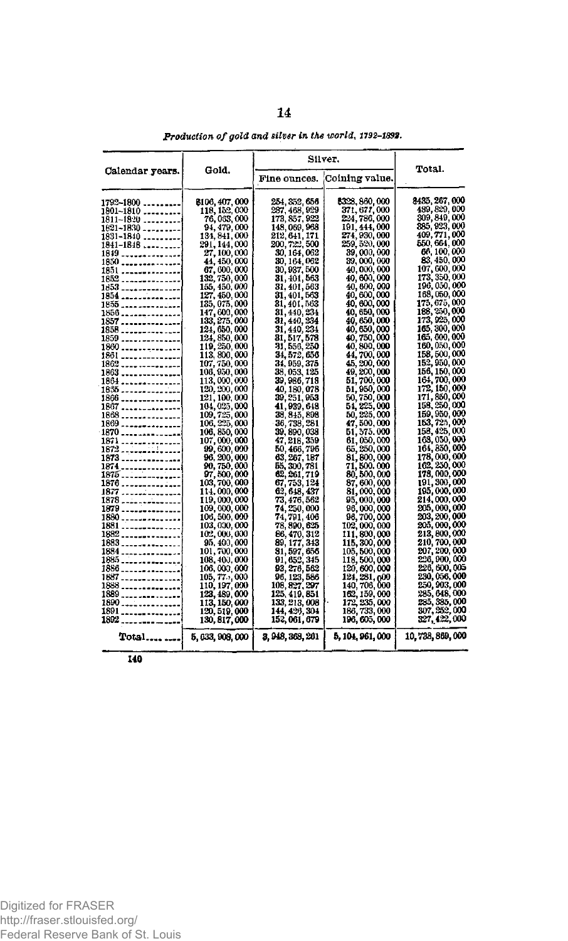|                                          |                                | Silver.                        |                                |                                |
|------------------------------------------|--------------------------------|--------------------------------|--------------------------------|--------------------------------|
| Calendar years.                          | Gold,                          | Fine ounces.                   | Coining value.                 | Total.                         |
| $1792 - 1800$                            | 8106, 407, 000                 | 254, 352, 656                  | 8328, 860, 000                 | 8435, 267, 000                 |
| 1801-1810                                | 118, 152, 000                  | 237, 468, 929                  | 371, 677, 000                  | 489, 829, 000                  |
| 1811-18:20 <sub>-----</sub> ----         | 76, 033, 000                   | 173, 857, 922                  | 224, 786, 000                  | 309, 849, 000                  |
| $1821 - 1830$                            | 94, 479, 000                   | 148, 069, 968                  | 191, 444, 000                  | 385 923,000<br>409, 771, 000   |
| 1831-1840                                | 131, 841, 000                  | 212, 641, 171<br>200, 722, 500 | 274, 930, 000<br>259, 520, 000 | 550, 664, 000                  |
| 1841-1848                                | 291, 144, 000<br>27, 100, 000  |                                | 39,000.000                     | 66, 100, 000                   |
| 1849 ------- <i>----</i> ----<br>1850    | 44, 450, 000                   | 30, 164, 062<br>30, 164, 062   | 39,000,000                     | 83.450,000                     |
| 1851                                     | 67, 600, 000                   | 30, 937, 500                   | 40,000,000                     | 107, 600, 000                  |
| 1852 <b>. .</b>                          | 132, 750, 000                  | 31, 401, 563                   | 40, 600, 000                   | 173, 350, 000                  |
| 1853 <sub>-----</sub> ----------         | 155, 450, 000                  | 31, 401, 563                   | 40,800,000                     | 196, 050, 000                  |
| 1854                                     | 127, 450, 000                  | 31, 401, 563                   | 40, 600, 000                   | 168,050,000                    |
|                                          | 135, 075, 000                  | 31, 401, 563                   | 40, 600, 000                   | 175, 675, 000                  |
| 1856                                     | 147, 600, 000                  | 31, 440, 234                   | 40, 650, 000                   | 188, 250, 000                  |
| 1857                                     | 133, 275, 000                  | 31, 440, 234                   | 40. 650. 000                   | 173, 925, 000                  |
|                                          | 124, 650, 000                  | 31, 440, 234                   | 40,650,000                     | 165, 300, 000                  |
| 1859 ---------                           | 124, 850, 000<br>119, 250, 000 | 31, 517, 578                   | 40,750,000                     | 165, 600, 000                  |
| 1860                                     |                                | 31, 556, 250                   | 40, 800, 000                   | 160, 050, 000                  |
|                                          | 113, 800, 000                  | 34, 572, 656                   | 44, 700, 000                   | 158,500,000<br>152, 950, 000   |
| 1862 <b></b> .                           | 107, 750, 000<br>108, 950, 000 | 34, 959, 375<br>38, 053, 125   | 45, 200, 000<br>49, 200, 000   | 156, 150, 000                  |
| 1863 <b></b> .                           | 113,000,000                    | 39, 986, 718                   | 51, 700, 000                   | 164, 700, 000                  |
| 1835 ---------------                     | 120, 200, 000                  | 40, 180, 078                   | 51, 950, 000                   | 172, 150, 000                  |
| 1866 ---------------                     | 121, 100, 000                  | 39, 251, 953                   | 50,750,000                     | 171, 850, 000                  |
| 1867 <b>.</b> <i></i>                    | 104, 025, 000                  | 41, 939, 648                   | 54, 225, 000                   | 158, 250, 000                  |
| 1868 <b>. . .</b>                        | 109, 725, 000                  | 38, 845, 898                   | 50, 225, 000                   | 159,950,000                    |
| 1869                                     | 106, 225, 000                  | 36, 738, 281                   | 47,500,000                     | 153, 725, 000                  |
| 1870                                     | 106, 850, 000                  | 39, 890, 033                   | 51, 375, 000                   | 158, 425, 000                  |
| 1871                                     | 107,000,000                    | 47, 218, 359                   | 61, 050, 000                   | 168, 050, 000                  |
| 1872 <b>.</b>                            | 99, 600, 000                   | 50, 466, 796                   | 65, 250, 000                   | 164, 850, 000                  |
| 1873                                     | 96, 200, 000                   | 63, 267, 187                   | 81, 800, 000                   | 178,000,000<br>162, 250, 000   |
| 1874 <sub>.</sub>                        | 90, 750, 000<br>97, 500, 000   | 55, 300, 781<br>62, 261, 719   | 71,500,000<br>80, 500, 000     | 178, 000, 000                  |
| 1875<br>1876                             | 103, 700, 000                  | 67, 753, 124                   | 87, 600, 000                   | 191, 300, 000                  |
| 1877                                     | 114,000,000                    | 62, 648, 437                   | 81,000,000                     | 195,000,000                    |
| 1878                                     | 119,000,000                    | 73, 476, 562                   | 95,000,000                     | 214,000,000                    |
| 1879                                     | 109,000,000                    | 74, 250, 000                   | 96,000,000                     | 205,000,000                    |
| 1880                                     | 106, 500, 000                  | 74, 791, 406                   | 96, 700, 000                   | 203, 200, 000                  |
| 1881                                     | 103, 000, 000                  | 78, 890, 625                   | 102, 000, 000                  | 205, 000, 000                  |
| 1882                                     | 102,000,000                    | 86, 470, 312                   | 111, 800, 000                  | 213, 800, 000                  |
| 1883                                     | 95, 400, 000                   | 89, 177, 343                   | 115, 300, 000                  | 210, 700, 000                  |
| 1884 <b>.</b>                            | 101, 700, 000                  | 81, 597, 656                   | 105, 500, 000                  | 207, 200, 000                  |
| 1885                                     | 108, 400, 000                  | 91, 652, 345                   | 118, 500, 000                  | 226, 900, 000<br>226, 600, 005 |
| 1886                                     | 106,000,000                    | 93, 276, 562                   | 120, 600, 000                  | 230, 056, 000                  |
| 1887 <sub>-----</sub> ----------<br>1888 | 105, 77., 000<br>110, 197, 000 | 96, 123, 586<br>108, 827, 207  | 124, 281, 000<br>140, 706, 000 | 250, 903, 000                  |
| 1889                                     | 123, 489, 000                  | 125, 419, 851                  |                                | 285, 648, 000                  |
| 1890                                     | 113, 150, 000                  | 133, 213, 008                  | 162, 159, 000<br>172, 235, 000 | 285, 385, 000                  |
| 1891<br>----- <b>------</b> ---          | 120, 519, 000                  | 144, 426, 304                  | 186, 733, 000                  | 307, 252, 000                  |
| 1892<br>. <b>.</b>                       | 130, 817, 000                  | 152, 061, 679                  | 196, 605, 000                  | 327, 422, 000                  |
| Total                                    | 5, 633, 908, 000               | 3, 948, 363, 261               | 5, 104, 961, 000               | 10,738,869,000                 |
|                                          |                                |                                |                                |                                |

Production of gold and silver in the world, 1792-1892.

 $140$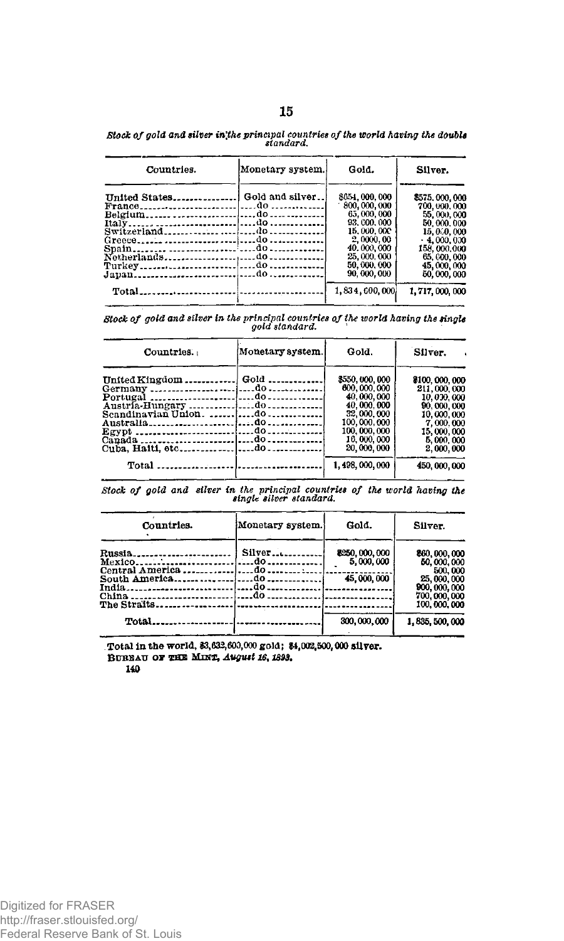| Countries.                     | Monetary system. | Gold.         | Silver.       |  |
|--------------------------------|------------------|---------------|---------------|--|
| United States Gold and silver! |                  | \$654,000,000 | \$575,000,000 |  |
|                                |                  | 800, 000, 000 | 700, 000, 000 |  |
|                                |                  | 65,000,000    | 55,000,000    |  |
|                                |                  | 93, 600, 000  | 50,000,000    |  |
|                                |                  | 15,000,000    | 15,000,000    |  |
|                                |                  | 2,0000,00     | $-4,000,000$  |  |
|                                |                  | 40,000,000    | 158,000,000   |  |
|                                |                  | 25,000,000    | 65, 000, 000  |  |
|                                |                  | 50, 000, 000  | 45,000,000    |  |
|                                |                  | 90,000,000    | 50,000,000    |  |

Stock of gold and silver in the principal countries of the world having the double<br>standard.

Stock of gold and silver in the principal countries of the world having the single<br>gold standard.

. . . . . . . . . . . . . . . .

 $1,834,600,000$ 

1,717,000,000

| Countries.                                 | Monetary system. | Gold.                                                                                                                              | Silver.                                                                                                                      |  |
|--------------------------------------------|------------------|------------------------------------------------------------------------------------------------------------------------------------|------------------------------------------------------------------------------------------------------------------------------|--|
| United Kingdom  Gold<br>Cuba, Halti, etcdo |                  | \$550,000,000<br>600,000,000<br>40,000,000<br>40,000,000<br>32,000,000<br>100,000,000<br>100, 000, 000<br>16,000,000<br>20,000,000 | 8100, 000, 000<br>211,000,000<br>10,000,000<br>90,000,000<br>10,000,000<br>7,000,000<br>15,000,000<br>5,000,000<br>2,000,000 |  |
|                                            |                  | 1,498,000,000                                                                                                                      | 450, 000, 000                                                                                                                |  |

Stock of gold and silver in the principal countries of the world having the<br>single silver standard.

| Countries. | Monetary system.]                    | Gold.                       | Silver.                              |  |
|------------|--------------------------------------|-----------------------------|--------------------------------------|--|
| Mexico     | Silver<br>---do------------          | 8250, 000, 000<br>5,000,000 | 860, 000, 000<br>60,000,000          |  |
| India      | service and the control of the<br>do | 45,000,000                  | 500,000<br>25,000,000<br>900,000,000 |  |
| China      | . do<br>-- - - - - -                 | <br>.                       | 700,000,000<br>100,000,000           |  |
|            |                                      | 300,000,000                 | 1, 835, 500, 000                     |  |

Total in the world, \$3,632,600,000 gold; \$4,002,500,000 silver. BUREAU OF THE MINT, August 16, 1893.

140

Total.......................